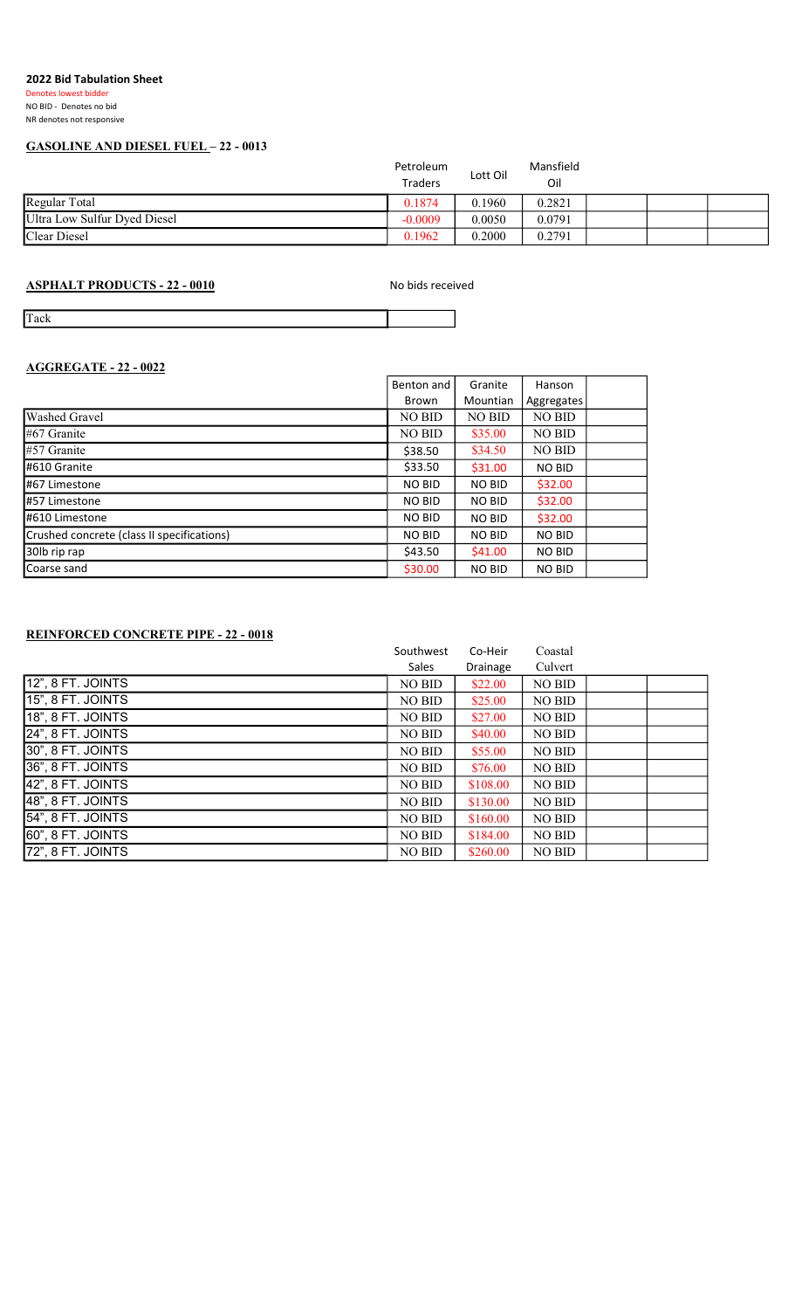## 2022 Bid Tabulation Sheet

Denotes lowest bidder NO BID - Denotes no bid NR denotes not responsive

## GASOLINE AND DIESEL FUEL – 22 - 0013

|                              | Petroleum<br><b>Traders</b> | Lott Oil | Mansfield<br>Oil |  |  |
|------------------------------|-----------------------------|----------|------------------|--|--|
| Regular Total                | 0.1874                      | 0.1960   | 0.2821           |  |  |
| Ultra Low Sulfur Dyed Diesel | $-0.0009$                   | 0.0050   | 0.0791           |  |  |
| Clear Diesel                 | 0.1962                      | 0.2000   | 0.2791           |  |  |
|                              |                             |          |                  |  |  |

ASPHALT PRODUCTS - 22 - 0010 No bids received

Tack

# AGGREGATE - 22 - 0022

|                                            | Benton and    | Granite       | Hanson        |  |
|--------------------------------------------|---------------|---------------|---------------|--|
|                                            | Brown         | Mountian      | Aggregates    |  |
| <b>Washed Gravel</b>                       | NO BID        | NO BID        | NO BID        |  |
| $\sharp 67$ Granite                        | NO BID        | \$35.00       | NO BID        |  |
| $\sharp$ 57 Granite                        | \$38.50       | \$34.50       | NO BID        |  |
| #610 Granite                               | \$33.50       | \$31.00       | <b>NO BID</b> |  |
| #67 Limestone                              | <b>NO BID</b> | <b>NO BID</b> | \$32.00       |  |
| #57 Limestone                              | <b>NO BID</b> | NO BID        | \$32.00       |  |
| #610 Limestone                             | <b>NO BID</b> | <b>NO BID</b> | \$32.00       |  |
| Crushed concrete (class II specifications) | <b>NO BID</b> | <b>NO BID</b> | <b>NO BID</b> |  |
| 30lb rip rap                               | \$43.50       | \$41.00       | <b>NO BID</b> |  |
| Coarse sand                                | \$30.00       | <b>NO BID</b> | <b>NO BID</b> |  |

## REINFORCED CONCRETE PIPE - 22 - 0018

|                             | Southwest     | Co-Heir  | Coastal |  |
|-----------------------------|---------------|----------|---------|--|
|                             | Sales         | Drainage | Culvert |  |
| $\sqrt{12"}$ , 8 FT. JOINTS | <b>NO BID</b> | \$22.00  | NO BID  |  |
| 15", 8 FT. JOINTS           | <b>NO BID</b> | \$25.00  | NO BID  |  |
| 18", 8 FT. JOINTS           | NO BID        | \$27.00  | NO BID  |  |
| 24", 8 FT. JOINTS           | NO BID        | \$40.00  | NO BID  |  |
| 30", 8 FT. JOINTS           | NO BID        | \$55.00  | NO BID  |  |
| 36", 8 FT. JOINTS           | NO BID        | \$76.00  | NO BID  |  |
| 42", 8 FT. JOINTS           | <b>NO BID</b> | \$108.00 | NO BID  |  |
| 48", 8 FT. JOINTS           | <b>NO BID</b> | \$130.00 | NO BID  |  |
| 54", 8 FT. JOINTS           | <b>NO BID</b> | \$160.00 | NO BID  |  |
| 60", 8 FT. JOINTS           | <b>NO BID</b> | \$184.00 | NO BID  |  |
| 72", 8 FT. JOINTS           | NO BID        | \$260.00 | NO BID  |  |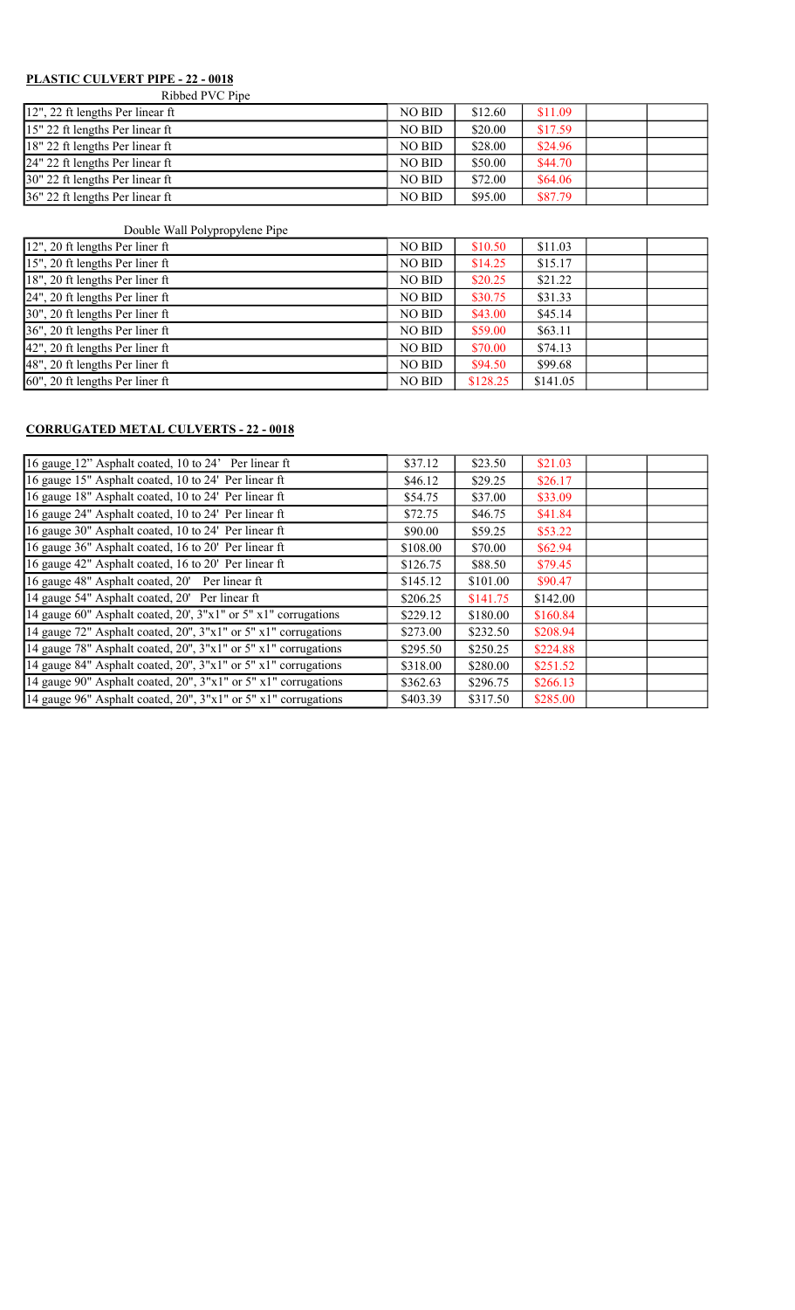# PLASTIC CULVERT PIPE - 22 - 0018

Ribbed PVC Pipe

| \$12.60 | \$11.09 |  |
|---------|---------|--|
| \$20.00 | \$17.59 |  |
| \$28.00 | \$24.96 |  |
| \$50.00 | \$44.70 |  |
| \$72.00 | \$64.06 |  |
| \$95.00 | \$87.79 |  |
|         |         |  |

## Double Wall Polypropylene Pipe

| 12", 20 ft lengths Per liner ft                | NO BID        | \$10.50  | \$11.03  |  |
|------------------------------------------------|---------------|----------|----------|--|
| 15", 20 ft lengths Per liner ft                | NO BID        | \$14.25  | \$15.17  |  |
| 18", 20 ft lengths Per liner ft                | NO BID        | \$20.25  | \$21.22  |  |
| $24$ ", 20 ft lengths Per liner ft             | NO BID        | \$30.75  | \$31.33  |  |
| 30", 20 ft lengths Per liner ft                | NO BID        | \$43.00  | \$45.14  |  |
| 36", 20 ft lengths Per liner ft                | NO BID        | \$59.00  | \$63.11  |  |
| $ 42$ ", 20 ft lengths Per liner ft            | NO BID        | \$70.00  | \$74.13  |  |
| $48$ ", 20 ft lengths Per liner ft             | NO BID        | \$94.50  | \$99.68  |  |
| $\left[60\right]$ , 20 ft lengths Per liner ft | <b>NO BID</b> | \$128.25 | \$141.05 |  |

## CORRUGATED METAL CULVERTS - 22 - 0018

| 16 gauge 12" Asphalt coated, 10 to 24' Per linear ft                    | \$37.12  | \$23.50  | \$21.03  |  |
|-------------------------------------------------------------------------|----------|----------|----------|--|
| 16 gauge 15" Asphalt coated, 10 to 24' Per linear ft                    | \$46.12  | \$29.25  | \$26.17  |  |
| 16 gauge 18" Asphalt coated, 10 to 24' Per linear ft                    | \$54.75  | \$37.00  | \$33.09  |  |
| 16 gauge 24" Asphalt coated, 10 to 24' Per linear ft                    | \$72.75  | \$46.75  | \$41.84  |  |
| 16 gauge 30" Asphalt coated, 10 to 24' Per linear ft                    | \$90.00  | \$59.25  | \$53.22  |  |
| 16 gauge 36" Asphalt coated, 16 to 20' Per linear ft                    | \$108.00 | \$70.00  | \$62.94  |  |
| 16 gauge 42" Asphalt coated, 16 to 20' Per linear ft                    | \$126.75 | \$88.50  | \$79.45  |  |
| 16 gauge 48" Asphalt coated, 20' Per linear ft                          | \$145.12 | \$101.00 | \$90.47  |  |
| 14 gauge 54" Asphalt coated, 20' Per linear ft                          | \$206.25 | \$141.75 | \$142.00 |  |
| 14 gauge 60" Asphalt coated, 20', 3"x1" or 5" x1" corrugations          | \$229.12 | \$180.00 | \$160.84 |  |
| 14 gauge 72" Asphalt coated, 20", 3"x1" or 5" x1" corrugations          | \$273.00 | \$232.50 | \$208.94 |  |
| 14 gauge 78" Asphalt coated, 20", 3"x1" or 5" x1" corrugations          | \$295.50 | \$250.25 | \$224.88 |  |
| 14 gauge 84" Asphalt coated, 20", 3"x1" or 5" x1" corrugations          | \$318.00 | \$280.00 | \$251.52 |  |
| 14 gauge 90" Asphalt coated, 20", 3"x1" or 5" x1" corrugations          | \$362.63 | \$296.75 | \$266.13 |  |
| 14 gauge 96" Asphalt coated, $20$ ", $3$ "x1" or $5$ " x1" corrugations | \$403.39 | \$317.50 | \$285.00 |  |